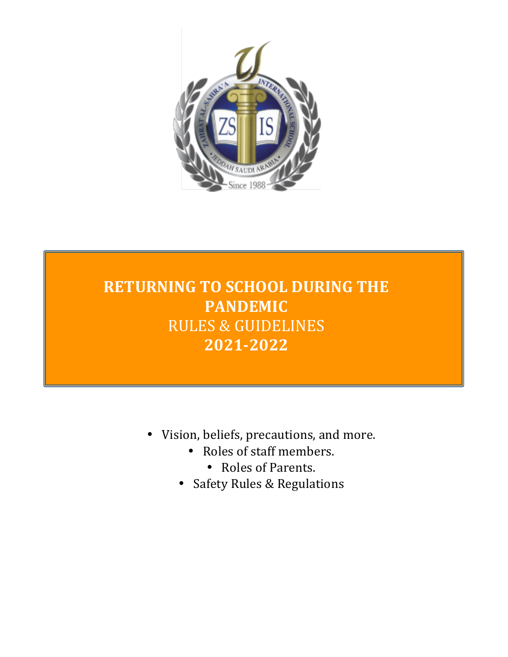

# **RETURNING TO SCHOOL DURING THE PANDEMIC** RULES & GUIDELINES **2021-2022**

- Vision, beliefs, precautions, and more.
	- Roles of staff members.
		- Roles of Parents.
	- Safety Rules & Regulations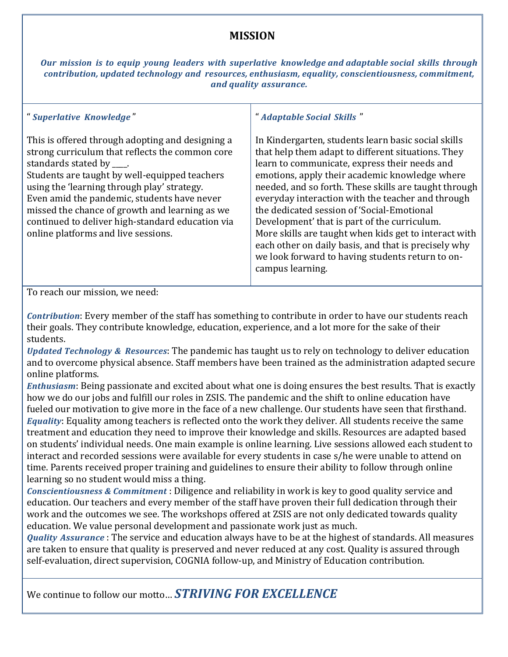## **MISSION**

*Our mission is to equip young leaders with superlative knowledge and adaptable social skills through contribution, updated technology and resources, enthusiasm, equality, conscientiousness, commitment, and quality assurance.*

#### " *Superlative Knowledge* "

This is offered through adopting and designing a strong curriculum that reflects the common core standards stated by  $\Box$ .

Students are taught by well-equipped teachers using the 'learning through play' strategy. Even amid the pandemic, students have never missed the chance of growth and learning as we continued to deliver high-standard education via online platforms and live sessions.

#### " *Adaptable Social Skills* "

In Kindergarten, students learn basic social skills that help them adapt to different situations. They learn to communicate, express their needs and emotions, apply their academic knowledge where needed, and so forth. These skills are taught through everyday interaction with the teacher and through the dedicated session of 'Social-Emotional Development' that is part of the curriculum. More skills are taught when kids get to interact with each other on daily basis, and that is precisely why we look forward to having students return to oncampus learning.

To reach our mission, we need:

*Contribution*: Every member of the staff has something to contribute in order to have our students reach their goals. They contribute knowledge, education, experience, and a lot more for the sake of their students.

*Updated Technology & Resources*: The pandemic has taught us to rely on technology to deliver education and to overcome physical absence. Staff members have been trained as the administration adapted secure online platforms.

*Enthusiasm*: Being passionate and excited about what one is doing ensures the best results. That is exactly how we do our jobs and fulfill our roles in ZSIS. The pandemic and the shift to online education have fueled our motivation to give more in the face of a new challenge. Our students have seen that firsthand. *Equality*: Equality among teachers is reflected onto the work they deliver. All students receive the same treatment and education they need to improve their knowledge and skills. Resources are adapted based on students' individual needs. One main example is online learning. Live sessions allowed each student to interact and recorded sessions were available for every students in case s/he were unable to attend on time. Parents received proper training and guidelines to ensure their ability to follow through online learning so no student would miss a thing.

*Conscientiousness & Commitment* : Diligence and reliability in work is key to good quality service and education. Our teachers and every member of the staff have proven their full dedication through their work and the outcomes we see. The workshops offered at ZSIS are not only dedicated towards quality education. We value personal development and passionate work just as much.

*Quality Assurance*: The service and education always have to be at the highest of standards. All measures are taken to ensure that quality is preserved and never reduced at any cost. Quality is assured through self-evaluation, direct supervision, COGNIA follow-up, and Ministry of Education contribution.

We continue to follow our motto… **STRIVING FOR EXCELLENCE**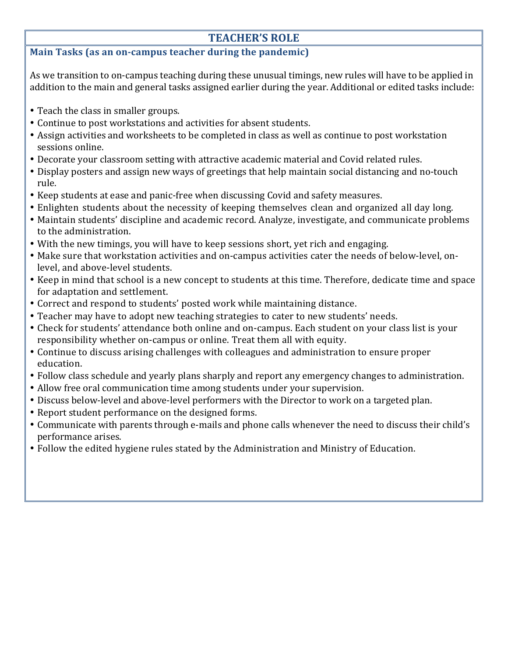# **TEACHER'S ROLE**

#### **Main Tasks (as an on-campus teacher during the pandemic)**

As we transition to on-campus teaching during these unusual timings, new rules will have to be applied in addition to the main and general tasks assigned earlier during the year. Additional or edited tasks include:

- Teach the class in smaller groups.
- Continue to post workstations and activities for absent students.
- Assign activities and worksheets to be completed in class as well as continue to post workstation sessions online.
- Decorate your classroom setting with attractive academic material and Covid related rules.
- Display posters and assign new ways of greetings that help maintain social distancing and no-touch rule.
- Keep students at ease and panic-free when discussing Covid and safety measures.
- Enlighten students about the necessity of keeping themselves clean and organized all day long.
- Maintain students' discipline and academic record. Analyze, investigate, and communicate problems to the administration.
- With the new timings, you will have to keep sessions short, yet rich and engaging.
- Make sure that workstation activities and on-campus activities cater the needs of below-level, onlevel, and above-level students.
- Keep in mind that school is a new concept to students at this time. Therefore, dedicate time and space for adaptation and settlement.
- Correct and respond to students' posted work while maintaining distance.
- Teacher may have to adopt new teaching strategies to cater to new students' needs.
- Check for students' attendance both online and on-campus. Each student on your class list is your responsibility whether on-campus or online. Treat them all with equity.
- Continue to discuss arising challenges with colleagues and administration to ensure proper education.
- Follow class schedule and yearly plans sharply and report any emergency changes to administration.
- Allow free oral communication time among students under your supervision.
- Discuss below-level and above-level performers with the Director to work on a targeted plan.
- Report student performance on the designed forms.
- Communicate with parents through e-mails and phone calls whenever the need to discuss their child's performance arises.
- Follow the edited hygiene rules stated by the Administration and Ministry of Education.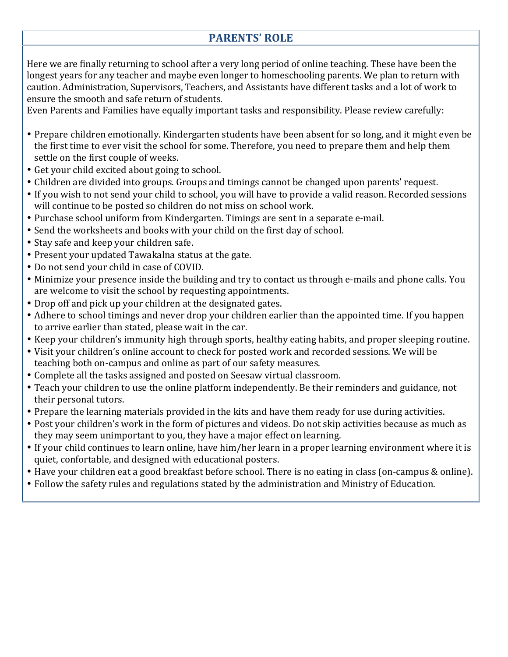# **PARENTS' ROLE**

Here we are finally returning to school after a very long period of online teaching. These have been the longest years for any teacher and maybe even longer to homeschooling parents. We plan to return with caution. Administration, Supervisors, Teachers, and Assistants have different tasks and a lot of work to ensure the smooth and safe return of students.

Even Parents and Families have equally important tasks and responsibility. Please review carefully:

- Prepare children emotionally. Kindergarten students have been absent for so long, and it might even be the first time to ever visit the school for some. Therefore, you need to prepare them and help them settle on the first couple of weeks.
- Get your child excited about going to school.
- Children are divided into groups. Groups and timings cannot be changed upon parents' request.
- If you wish to not send your child to school, you will have to provide a valid reason. Recorded sessions will continue to be posted so children do not miss on school work.
- Purchase school uniform from Kindergarten. Timings are sent in a separate e-mail.
- Send the worksheets and books with your child on the first day of school.
- Stay safe and keep your children safe.
- Present your updated Tawakalna status at the gate.
- Do not send your child in case of COVID.
- Minimize your presence inside the building and try to contact us through e-mails and phone calls. You are welcome to visit the school by requesting appointments.
- Drop off and pick up your children at the designated gates.
- Adhere to school timings and never drop your children earlier than the appointed time. If you happen to arrive earlier than stated, please wait in the car.
- Keep your children's immunity high through sports, healthy eating habits, and proper sleeping routine.
- Visit your children's online account to check for posted work and recorded sessions. We will be teaching both on-campus and online as part of our safety measures.
- Complete all the tasks assigned and posted on Seesaw virtual classroom.
- Teach your children to use the online platform independently. Be their reminders and guidance, not their personal tutors.
- Prepare the learning materials provided in the kits and have them ready for use during activities.
- Post your children's work in the form of pictures and videos. Do not skip activities because as much as they may seem unimportant to you, they have a major effect on learning.
- If your child continues to learn online, have him/her learn in a proper learning environment where it is quiet, confortable, and designed with educational posters.
- Have your children eat a good breakfast before school. There is no eating in class (on-campus & online).
- Follow the safety rules and regulations stated by the administration and Ministry of Education.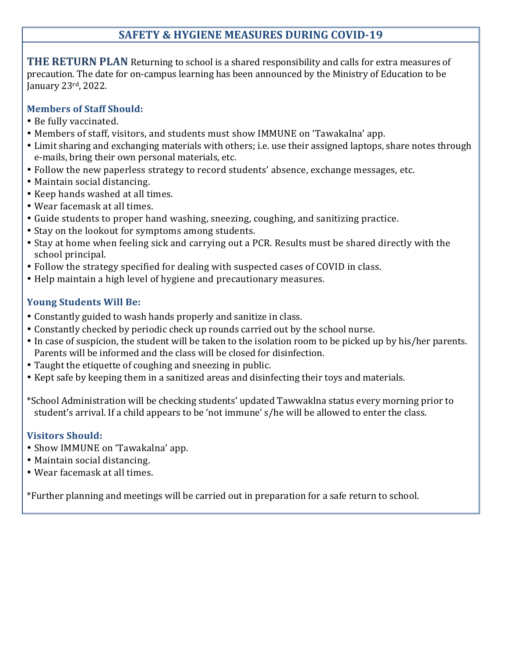# **SAFETY & HYGIENE MEASURES DURING COVID-19**

THE RETURN PLAN Returning to school is a shared responsibility and calls for extra measures of precaution. The date for on-campus learning has been announced by the Ministry of Education to be January 23rd, 2022.

#### **Members of Staff Should:**

- Be fully vaccinated.
- Members of staff, visitors, and students must show IMMUNE on 'Tawakalna' app.
- Limit sharing and exchanging materials with others; i.e. use their assigned laptops, share notes through e-mails, bring their own personal materials, etc.
- Follow the new paperless strategy to record students' absence, exchange messages, etc.
- Maintain social distancing.
- Keep hands washed at all times.
- Wear facemask at all times.
- Guide students to proper hand washing, sneezing, coughing, and sanitizing practice.
- Stay on the lookout for symptoms among students.
- Stay at home when feeling sick and carrying out a PCR. Results must be shared directly with the school principal.
- Follow the strategy specified for dealing with suspected cases of COVID in class.
- Help maintain a high level of hygiene and precautionary measures.

### **Young Students Will Be:**

- Constantly guided to wash hands properly and sanitize in class.
- Constantly checked by periodic check up rounds carried out by the school nurse.
- In case of suspicion, the student will be taken to the isolation room to be picked up by his/her parents. Parents will be informed and the class will be closed for disinfection.
- Taught the etiquette of coughing and sneezing in public.
- Kept safe by keeping them in a sanitized areas and disinfecting their toys and materials.
- \*School Administration will be checking students' updated Tawwaklna status every morning prior to student's arrival. If a child appears to be 'not immune' s/he will be allowed to enter the class.

### **Visitors Should:**

- Show IMMUNE on 'Tawakalna' app.
- Maintain social distancing.
- Wear facemask at all times.

\*Further planning and meetings will be carried out in preparation for a safe return to school.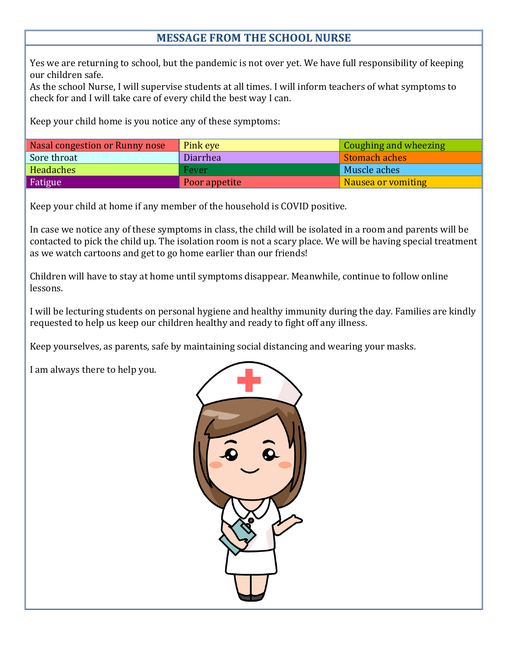# **MESSAGE FROM THE SCHOOL NURSE**

Yes we are returning to school, but the pandemic is not over yet. We have full responsibility of keeping our children safe.

As the school Nurse, I will supervise students at all times. I will inform teachers of what symptoms to check for and I will take care of every child the best way I can.

Keep your child home is you notice any of these symptoms:

| Nasal congestion or Runny nose | Pink eye      | <b>Coughing and wheezing</b> |
|--------------------------------|---------------|------------------------------|
| Sore throat                    | Diarrhea      | Stomach aches                |
| Headaches                      | Fever         | Muscle aches                 |
| Fatigue                        | Poor appetite | Nausea or vomiting           |

Keep your child at home if any member of the household is COVID positive.

In case we notice any of these symptoms in class, the child will be isolated in a room and parents will be contacted to pick the child up. The isolation room is not a scary place. We will be having special treatment as we watch cartoons and get to go home earlier than our friends!

Children will have to stay at home until symptoms disappear. Meanwhile, continue to follow online lessons.

I will be lecturing students on personal hygiene and healthy immunity during the day. Families are kindly requested to help us keep our children healthy and ready to fight off any illness.

Keep yourselves, as parents, safe by maintaining social distancing and wearing your masks.

I am always there to help you.

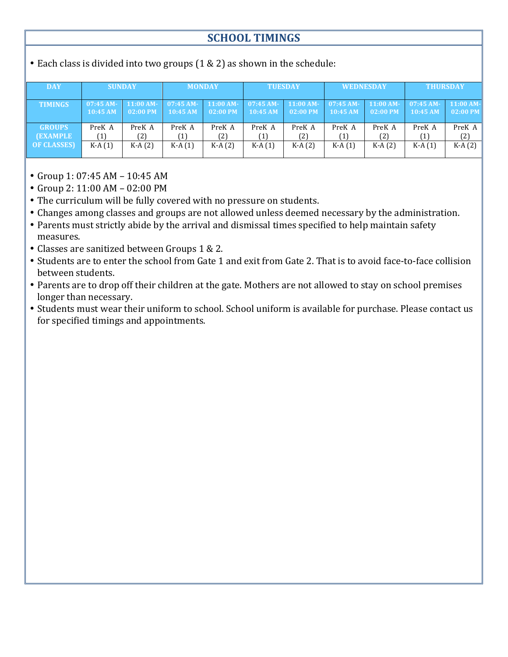# **SCHOOL TIMINGS**

• Each class is divided into two groups  $(1 \& 2)$  as shown in the schedule:

| <b>DAY</b>        | <b>SUNDAY</b>          |                           | <b>MONDAY</b>          |                           | <b>TUESDAY</b>         |                           | <b>WEDNESDAY</b> |                                                   | <b>THURSDAY</b> |                           |  |
|-------------------|------------------------|---------------------------|------------------------|---------------------------|------------------------|---------------------------|------------------|---------------------------------------------------|-----------------|---------------------------|--|
| <b>TIMINGS</b>    | $07:45$ AM-<br>10:45AM | $11:00$ AM-<br>$02:00$ PM | $07:45$ AM-<br>10:45AM | $11:00 AM-$<br>$02:00$ PM | $07:45$ AM-<br>10:45AM | $11:00$ AM-<br>$02:00$ PM | 10:45AM          | $07:45$ AM- $11:00$ AM- $07:45$ AM-<br>$02:00$ PM | 10:45 AM        | $11:00$ AM-<br>$02:00$ PM |  |
| <b>GROUPS</b>     | PreK A                 | PreK A                    | PreK A                 | PreK A                    | PreK A                 | PreK A                    | PreK A           | PreK A                                            | PreK A          | PreK A                    |  |
| <b>(EXAMPLE</b>   | (1)                    | (2)                       |                        | 〔2〕                       |                        | (2)                       |                  | (2)                                               | 〔1〕             | (2)                       |  |
| <b>OF CLASSES</b> | $K-A(1)$               | $K-A(2)$                  | $K-A(1)$               | $K-A(2)$                  | $K-A(1)$               | $K-A(2)$                  | $K-A(1)$         | $K-A(2)$                                          | $K-A(1)$        | $K-A(2)$                  |  |

- Group  $1: 07:45$  AM  $10:45$  AM
- Group  $2: 11:00$  AM  $02:00$  PM
- The curriculum will be fully covered with no pressure on students.
- Changes among classes and groups are not allowed unless deemed necessary by the administration.
- Parents must strictly abide by the arrival and dismissal times specified to help maintain safety measures.
- Classes are sanitized between Groups 1 & 2.
- Students are to enter the school from Gate 1 and exit from Gate 2. That is to avoid face-to-face collision between students.
- Parents are to drop off their children at the gate. Mothers are not allowed to stay on school premises longer than necessary.
- Students must wear their uniform to school. School uniform is available for purchase. Please contact us for specified timings and appointments.